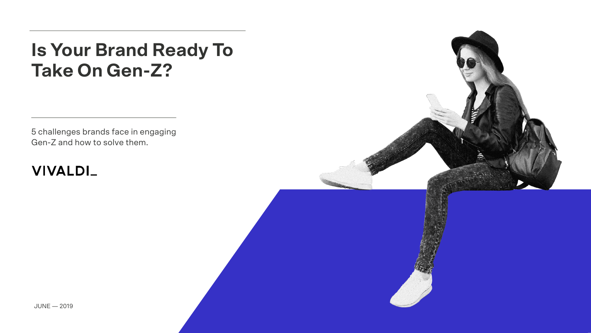## **Is Your Brand Ready To Take On Gen-Z?**

5 challenges brands face in engaging Gen-Z and how to solve them.

## **VIVALDI\_**

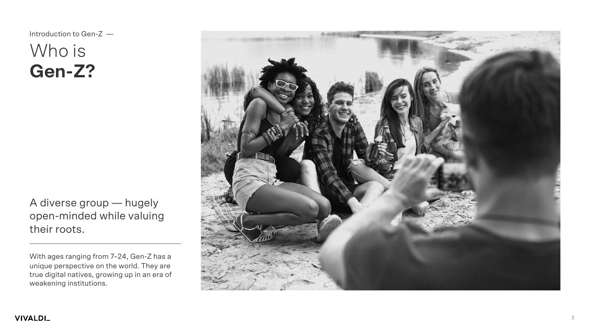## Who is **Gen -Z?** Introduction to Gen -Z —

A diverse group — hugely open -minded while valuing their roots.

With ages ranging from 7 –24, Gen -Z has a unique perspective on the world. They are true digital natives, growing up in an era of weakening institutions.

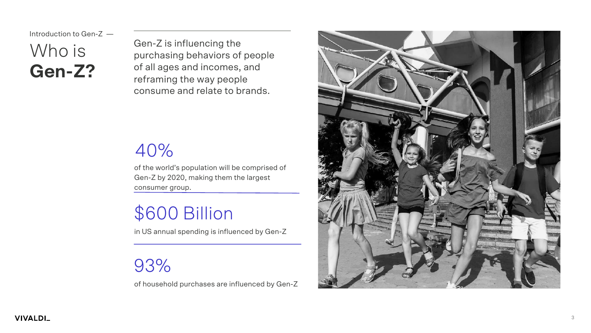**VIVALDI\_** 

Who is **Gen-Z?** Introduction to Gen-Z —

Gen-Z is influencing the purchasing behaviors of people of all ages and incomes, and reframing the way people consume and relate to brands.

## 40%

of the world's population will be comprised of Gen-Z by 2020, making them the largest consumer group.

## \$600 Billion

in US annual spending is influenced by Gen-Z

93%

of household purchases are influenced by Gen-Z

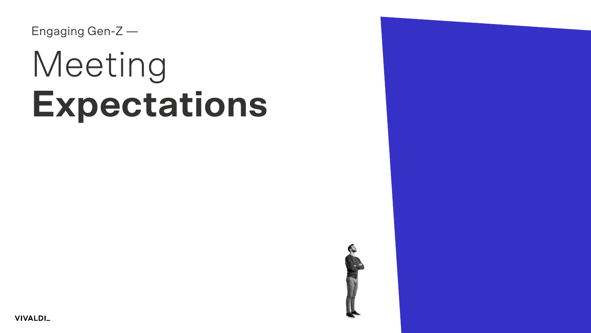Engaging Gen-Z —

# Meeting **Expectations**



**VIVALDI\_**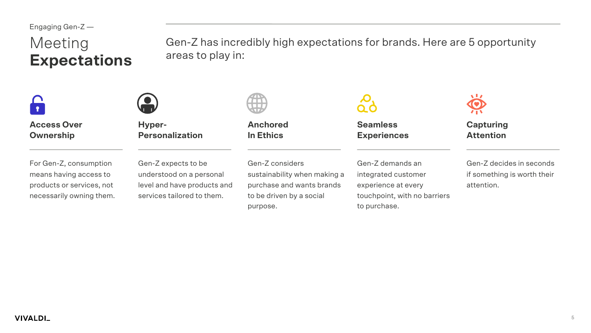# **Expectations**

Meeting Gen-Z has incredibly high expectations for brands. Here are 5 opportunity<br> **Expectations** areas to play in:



**Access Over Ownership**

For Gen-Z, consumption means having access to products or services, not necessarily owning them.



**Hyper-Personalization**

Gen-Z expects to be understood on a personal level and have products and services tailored to them.



**Anchored In Ethics**

Gen-Z considers sustainability when making a purchase and wants brands to be driven by a social purpose.



**Seamless Experiences**

Gen-Z demands an integrated customer experience at every touchpoint, with no barriers to purchase.



**Capturing Attention**

Gen-Z decides in seconds if something is worth their attention.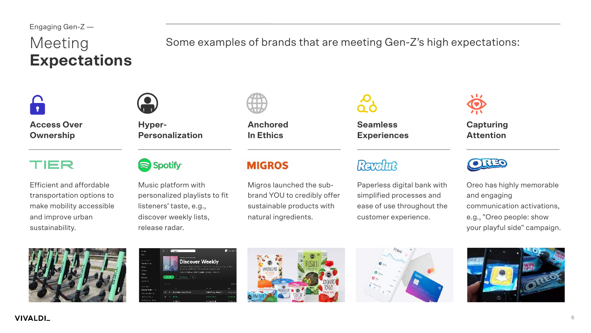# **Expectations**

Meeting Some examples of brands that are meeting Gen-Z's high expectations:



**Access Over Ownership**

#### TIER

Efficient and affordable transportation options to make mobility accessible and improve urban sustainability.



**Hyper-Personalization**

#### Spotify<sup>®</sup>

Music platform with personalized playlists to fit listeners' taste, e.g., discover weekly lists, release radar.



**Anchored In Ethics**

#### **MIGROS**

Migros launched the subbrand YOU to credibly offer sustainable products with natural ingredients.

**Seamless Experiences**

### Ravolut

Paperless digital bank with simplified processes and ease of use throughout the customer experience.



**Capturing Attention**



Oreo has highly memorable and engaging communication activations, e.g., "Oreo people: show your playful side" campaign.









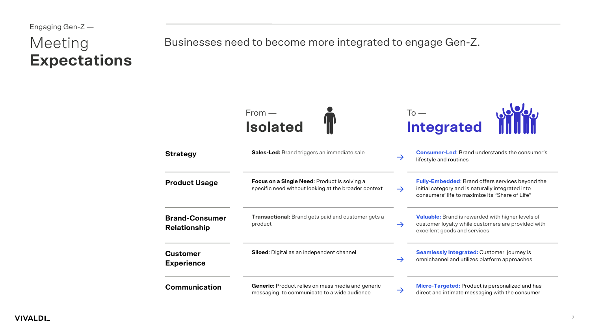# **Expectations**

Meeting Businesses need to become more integrated to engage Gen-Z.

|                                              | $From -$<br><b>Isolated</b>                                                                             |               | To $-$<br><b>Integrated</b>                                                                                                                                     |  |  |
|----------------------------------------------|---------------------------------------------------------------------------------------------------------|---------------|-----------------------------------------------------------------------------------------------------------------------------------------------------------------|--|--|
| <b>Strategy</b>                              | <b>Sales-Led:</b> Brand triggers an immediate sale                                                      | $\rightarrow$ | <b>Consumer-Led:</b> Brand understands the consumer's<br>lifestyle and routines                                                                                 |  |  |
| <b>Product Usage</b>                         | Focus on a Single Need: Product is solving a<br>specific need without looking at the broader context    | $\rightarrow$ | <b>Fully-Embedded:</b> Brand offers services beyond the<br>initial category and is naturally integrated into<br>consumers' life to maximize its "Share of Life" |  |  |
| <b>Brand-Consumer</b><br><b>Relationship</b> | Transactional: Brand gets paid and customer gets a<br>product                                           |               | Valuable: Brand is rewarded with higher levels of<br>customer loyalty while customers are provided with<br>excellent goods and services                         |  |  |
| <b>Customer</b><br><b>Experience</b>         | <b>Siloed:</b> Digital as an independent channel                                                        |               | <b>Seamlessly Integrated: Customer journey is</b><br>omnichannel and utilizes platform approaches                                                               |  |  |
| <b>Communication</b>                         | <b>Generic:</b> Product relies on mass media and generic<br>messaging to communicate to a wide audience | $\rightarrow$ | Micro-Targeted: Product is personalized and has<br>direct and intimate messaging with the consumer                                                              |  |  |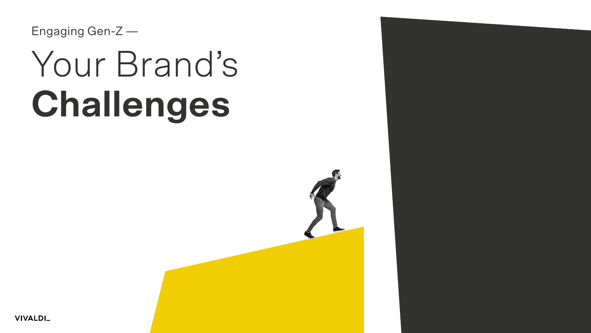# Your Brand's **Challenges**



**VIVALDI\_**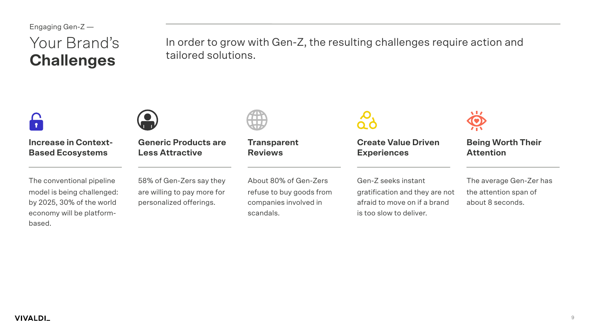## Your Brand's **Challenges**

In order to grow with Gen-Z, the resulting challenges require action and tailored solutions.



**Increase in Context-Based Ecosystems**



**Generic Products are Less Attractive**

The conventional pipeline model is being challenged: by 2025, 30% of the world economy will be platformbased.

58% of Gen-Zers say they are willing to pay more for personalized offerings.

About 80% of Gen-Zers refuse to buy goods from companies involved in scandals.

**Transparent** 

**Reviews**

**Create Value Driven Experiences**

Gen-Z seeks instant gratification and they are not afraid to move on if a brand is too slow to deliver.



**Being Worth Their Attention**

The average Gen-Zer has the attention span of about 8 seconds.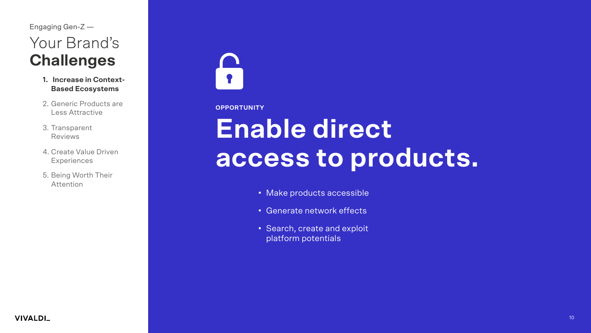- **1. Increase in Context-Based Ecosystems**
- 2. Generic Products are Less Attractive
- 3. Transparent Reviews
- 4. Create Value Driven **Experiences**
- 5. Being Worth Their Attention



#### **OPPORTUNITY**

## **Enable direct access to products.**

- Make products accessible
- Generate network effects
- Search, create and exploit platform potentials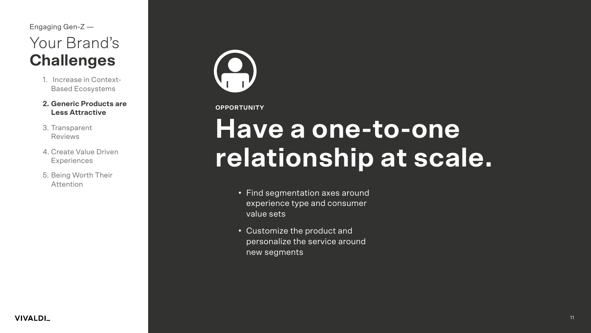- 1. Increase in Context-Based Ecosystems
- **2. Generic Products are Less Attractive**
- 3. Transparent Reviews
- 4. Create Value Driven **Experiences**
- 5. Being Worth Their Attention



#### **OPPORTUNITY**

## **Have a one-to-one relationship at scale.**

- Find segmentation axes around experience type and consumer value sets
- Customize the product and personalize the service around new segments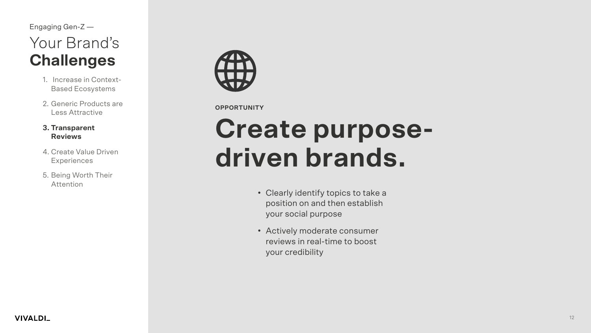- 1. Increase in Context-Based Ecosystems
- 2. Generic Products are Less Attractive

#### **3. Transparent Reviews**

- 4. Create Value Driven **Experiences**
- 5. Being Worth Their Attention



#### **OPPORTUNITY**

## **Create purposedriven brands.**

- Clearly identify topics to take a position on and then establish your social purpose
- Actively moderate consumer reviews in real-time to boost your credibility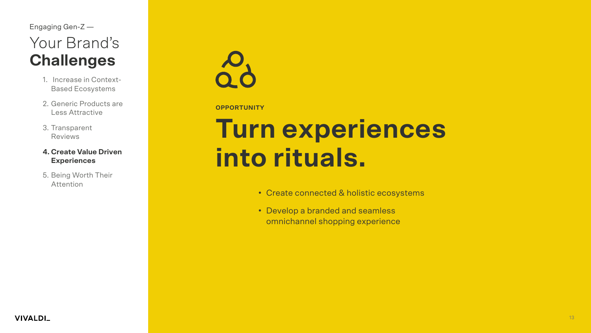- 1. Increase in Context-Based Ecosystems
- 2. Generic Products are Less Attractive
- 3. Transparent Reviews

#### **4. Create Value Driven Experiences**

5. Being Worth Their Attention



#### **OPPORTUNITY**

## **Turn experiences into rituals.**

- Create connected & holistic ecosystems
- Develop a branded and seamless omnichannel shopping experience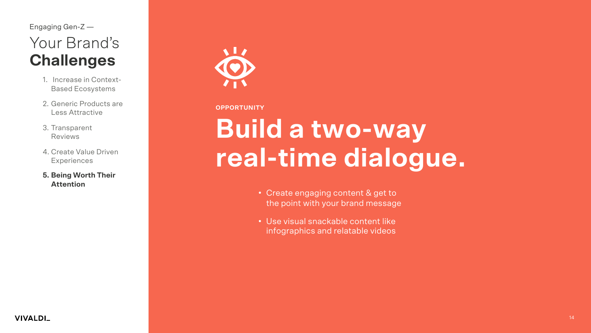- 1. Increase in Context-Based Ecosystems
- 2. Generic Products are Less Attractive
- 3. Transparent Reviews
- 4. Create Value Driven **Experiences**
- **5. Being Worth Their Attention**



#### **OPPORTUNITY**

## **Build a two-way real-time dialogue.**

- Create engaging content & get to the point with your brand message
- Use visual snackable content like infographics and relatable videos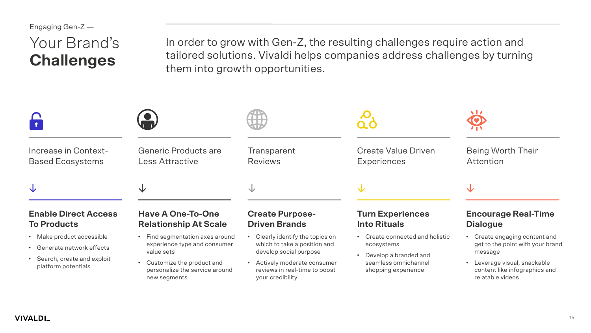## Your Brand's **Challenges**

In order to grow with Gen-Z, the resulting challenges require action and tailored solutions. Vivaldi helps companies address challenges by turning them into growth opportunities.

| Increase in Context-<br><b>Based Ecosystems</b>                   | <b>Generic Products are</b><br>Less Attractive                | Transparent<br><b>Reviews</b>                       | <b>Create Value Driven</b><br><b>Experiences</b>    | Being Worth Their<br>Attention                     |
|-------------------------------------------------------------------|---------------------------------------------------------------|-----------------------------------------------------|-----------------------------------------------------|----------------------------------------------------|
| $\downarrow$<br><b>Enable Direct Access</b><br><b>To Products</b> | ◡<br><b>Have A One-To-One</b><br><b>Relationship At Scale</b> | ◡<br><b>Create Purpose-</b><br><b>Driven Brands</b> | ◡<br><b>Turn Experiences</b><br><b>Into Rituals</b> | ◡<br><b>Encourage Real-Time</b><br><b>Dialogue</b> |
|                                                                   |                                                               |                                                     |                                                     |                                                    |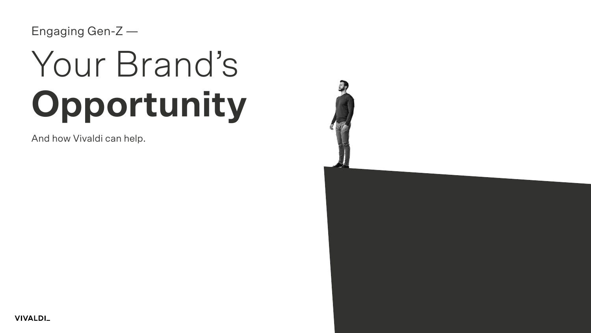# Your Brand's **Opportunity**

And how Vivaldi can help.

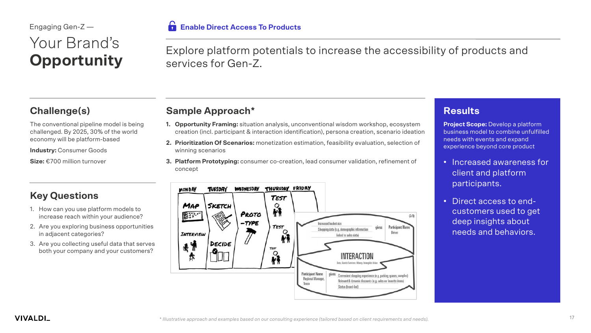#### ĥ **Enable Direct Access To Products**

**Sample Approach\***

services for Gen-Z.

**Challenge(s)**

The conventional pipeline model is being challenged. By 2025, 30% of the world economy will be platform-based

**Industry: Consumer Goods** 

Your Brand's

Engaging Gen-Z —

**Opportunity**

**Size:** €700 million turnover

#### **Key Questions**

- 1. How can you use platform models to increase reach within your audience?
- 2. Are you exploring business opportunities in adjacent categories?
- 3. Are you collecting useful data that serves both your company and your customers?



Explore platform potentials to increase the accessibility of products and

- **2. Prioritization Of Scenarios:** monetization estimation, feasibility evaluation, selection of winning scenarios
- **3. Platform Prototyping:** consumer co-creation, lead consumer validation, refinement of concept



#### **Results**

**Project Scope:** Develop a platform business model to combine unfulfilled needs with events and expand experience beyond core product

- Increased awareness for client and platform participants.
- Direct access to endcustomers used to get deep insights about needs and behaviors.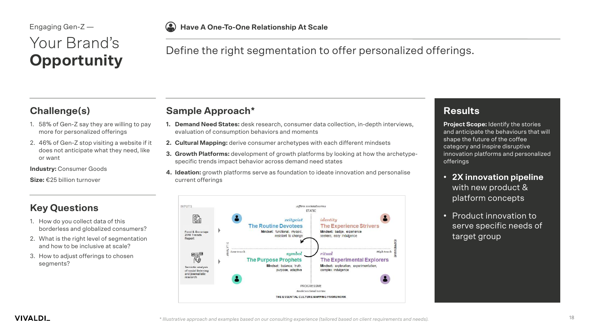#### $\left( \bullet \right)$ **Have A One-To-One Relationship At Scale**

### Your Brand's **Opportunity**

#### Define the right segmentation to offer personalized offerings.

#### **Challenge(s)**

- 1. 58% of Gen-Z say they are willing to pay more for personalized offerings
- 2. 46% of Gen-Z stop visiting a website if it does not anticipate what they need, like or want

**Industry: Consumer Goods** 

**Size:** €25 billion turnover

#### **Key Questions**

- 1. How do you collect data of this borderless and globalized consumers?
- 2. What is the right level of segmentation and how to be inclusive at scale?
- 3. How to adjust offerings to chosen segments?

#### **Sample Approach\***

- **1. Demand Need States:** desk research, consumer data collection, in-depth interviews, evaluation of consumption behaviors and moments
- **2. Cultural Mapping:** derive consumer archetypes with each different mindsets
- **3. Growth Platforms:** development of growth platforms by looking at how the archetypespecific trends impact behavior across demand need states
- **4. Ideation:** growth platforms serve as foundation to ideate innovation and personalise current offerings



#### **Results**

**Project Scope:** Identify the stories and anticipate the behaviours that will shape the future of the coffee category and inspire disruptive innovation platforms and personalized offerings

- **2X innovation pipeline**  with new product & platform concepts
- Product innovation to serve specific needs of target group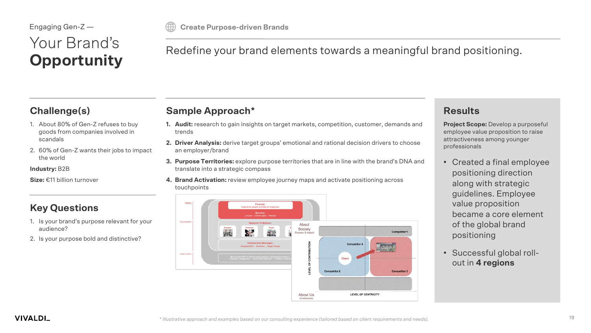## Your Brand's **Opportunity**

**Create Purpose-driven Brands**

**Sample Approach\***

#### Redefine your brand elements towards a meaningful brand positioning.

#### **Challenge(s)**

- 1. About 80% of Gen-Z refuses to buy goods from companies involved in scandals
- 2. 60% of Gen-Z wants their jobs to impact the world

**Industry:** B2B

**Size:** €11 billion turnover

#### **Key Questions**

- 1. Is your brand's purpose relevant for your audience?
- 2. Is your purpose bold and distinctive?
- **1. Audit:** research to gain insights on target markets, competition, customer, demands and trends
- **2. Driver Analysis:** derive target groups' emotional and rational decision drivers to choose an employer/brand
- **3. Purpose Territories:** explore purpose territories that are in line with the brand's DNA and translate into a strategic compass
- **4. Brand Activation:** review employee journey maps and activate positioning across touchpoints



#### **Results**

**Project Scope:** Develop a purposeful employee value proposition to raise attractiveness among younger professionals

- Created a final employee positioning direction along with strategic guidelines. Employee value proposition became a core element of the global brand positioning
- Successful global rollout in **4 regions**

**VIVALDI\_**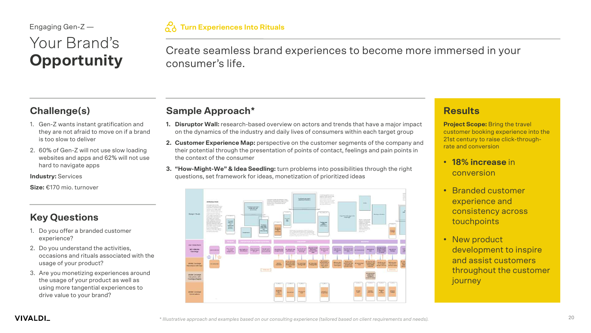## Your Brand's **Opportunity**

Create seamless brand experiences to become more immersed in your consumer's life.

#### **Challenge(s)**

- 1. Gen-Z wants instant gratification and they are not afraid to move on if a brand is too slow to deliver
- 2. 60% of Gen-Z will not use slow loading websites and apps and 62% will not use hard to navigate apps

**Industry:** Services

**Size:** €170 mio. turnover

#### **Key Questions**

- 1. Do you offer a branded customer experience?
- 2. Do you understand the activities, occasions and rituals associated with the usage of your product?
- 3. Are you monetizing experiences around the usage of your product as well as using more tangential experiences to drive value to your brand?

#### **Sample Approach\***

- **1. Disruptor Wall:** research-based overview on actors and trends that have a major impact on the dynamics of the industry and daily lives of consumers within each target group
- **2. Customer Experience Map:** perspective on the customer segments of the company and their potential through the presentation of points of contact, feelings and pain points in the context of the consumer
- **3. "How-Might-We" & Idea Seedling:** turn problems into possibilities through the right questions, set framework for ideas, monetization of prioritized ideas



#### **Results**

**Project Scope:** Bring the travel customer booking experience into the 21st century to raise click-throughrate and conversion

- **18% increase** in conversion
- Branded customer experience and consistency across touchpoints
- New product development to inspire and assist customers throughout the customer **journey**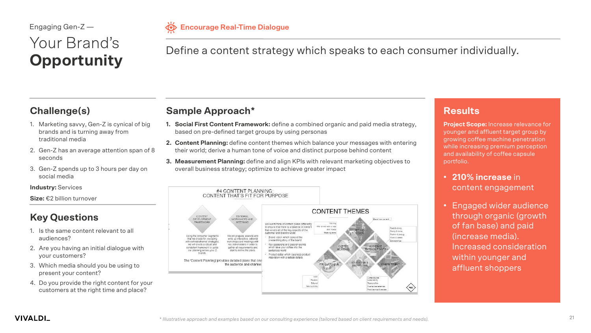## Your Brand's **Opportunity**

**Encourage Real-Time Dialogue®** 

#### Define a content strategy which speaks to each consumer individually.

#### **Challenge(s)**

- 1. Marketing savvy, Gen-Z is cynical of big brands and is turning away from traditional media
- 2. Gen-Z has an average attention span of 8 seconds
- 3. Gen-Z spends up to 3 hours per day on social media

#### **Industry:** Services

**Size:** €2 billion turnover

#### **Key Questions**

- 1. Is the same content relevant to all audiences?
- 2. Are you having an initial dialogue with your customers?
- 3. Which media should you be using to present your content?
- 4. Do you provide the right content for your customers at the right time and place?

### **Sample Approach\***

- **1. Social First Content Framework:** define a combined organic and paid media strategy, based on pre-defined target groups by using personas
- **2. Content Planning:** define content themes which balance your messages with entering their world; derive a human tone of voice and distinct purpose behind content
- **3. Measurement Planning:** define and align KPIs with relevant marketing objectives to overall business strategy; optimize to achieve greater impact



#### **Results**

**Project Scope:** Increase relevance for younger and affluent target group by growing coffee machine penetration while increasing premium perception and availability of coffee capsule portfolio.

- **210% increase** in content engagement
- Engaged wider audience through organic (growth of fan base) and paid (increase media). Increased consideration within younger and affluent shoppers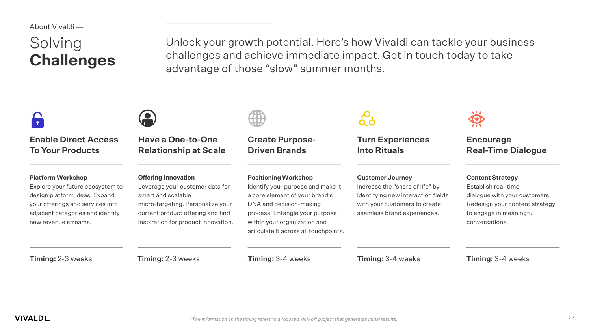About Vivaldi —

## Solving **Challenges**

Unlock your growth potential. Here's how Vivaldi can tackle your business challenges and achieve immediate impact. Get in touch today to take advantage of those "slow" summer months.

| <b>Enable Direct Access</b><br><b>To Your Products</b>                                                                                                                                        | <b>Have a One-to-One</b><br><b>Relationship at Scale</b>                                                                                                                                             | <b>Create Purpose-</b><br><b>Driven Brands</b>                                                                                                                                                                                           | <b>Turn Experiences</b><br><b>Into Rituals</b>                                                                                                                   | <b>Encourage</b><br><b>Real-Time Dialogue</b>                                                                                                                  |
|-----------------------------------------------------------------------------------------------------------------------------------------------------------------------------------------------|------------------------------------------------------------------------------------------------------------------------------------------------------------------------------------------------------|------------------------------------------------------------------------------------------------------------------------------------------------------------------------------------------------------------------------------------------|------------------------------------------------------------------------------------------------------------------------------------------------------------------|----------------------------------------------------------------------------------------------------------------------------------------------------------------|
| <b>Platform Workshop</b><br>Explore your future ecosystem to<br>design platform ideas. Expand<br>your offerings and services into<br>adjacent categories and identify<br>new revenue streams. | <b>Offering Innovation</b><br>Leverage your customer data for<br>smart and scalable<br>micro-targeting. Personalize your<br>current product offering and find<br>inspiration for product innovation. | <b>Positioning Workshop</b><br>Identify your purpose and make it<br>a core element of your brand's<br>DNA and decision-making<br>process. Entangle your purpose<br>within your organization and<br>articulate it across all touchpoints. | <b>Customer Journey</b><br>Increase the "share of life" by<br>identifying new interaction fields<br>with your customers to create<br>seamless brand experiences. | <b>Content Strategy</b><br>Establish real-time<br>dialogue with your customers.<br>Redesign your content strategy<br>to engage in meaningful<br>conversations. |
| <b>Timing: 2-3 weeks</b>                                                                                                                                                                      | <b>Timing: 2-3 weeks</b>                                                                                                                                                                             | <b>Timing: 3-4 weeks</b>                                                                                                                                                                                                                 | <b>Timing: 3-4 weeks</b>                                                                                                                                         | <b>Timing: 3-4 weeks</b>                                                                                                                                       |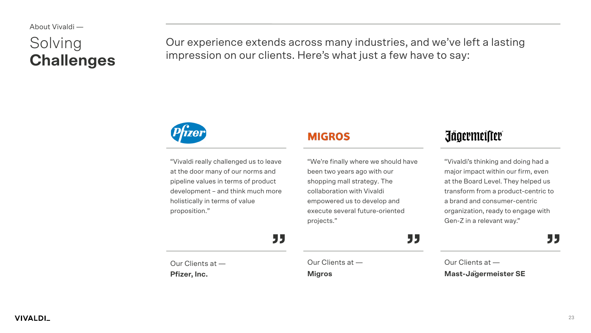# **Challenges**

Solving Curexperience extends across many industries, and we've left a lasting<br> **Challenges** impression on our clients. Here's what just a few have to say:



"Vivaldi really challenged us to leave at the door many of our norms and pipeline values in terms of product development – and think much more holistically in terms of value proposition."

#### **MIGROS**

"We're finally where we should have been two years ago with our shopping mall strategy. The collaboration with Vivaldi empowered us to develop and execute several future-oriented projects."

### **Jägermeister**

"Vivaldi's thinking and doing had a major impact within our firm, even at the Board Level. They helped us transform from a product-centric to a brand and consumer-centric organization, ready to engage with Gen-Z in a relevant way."

Our Clients at — **Pfizer, Inc.** Our Clients at — **Migros** Our Clients at — **Mast-Jägermeister SE 35 35 35 35 35**